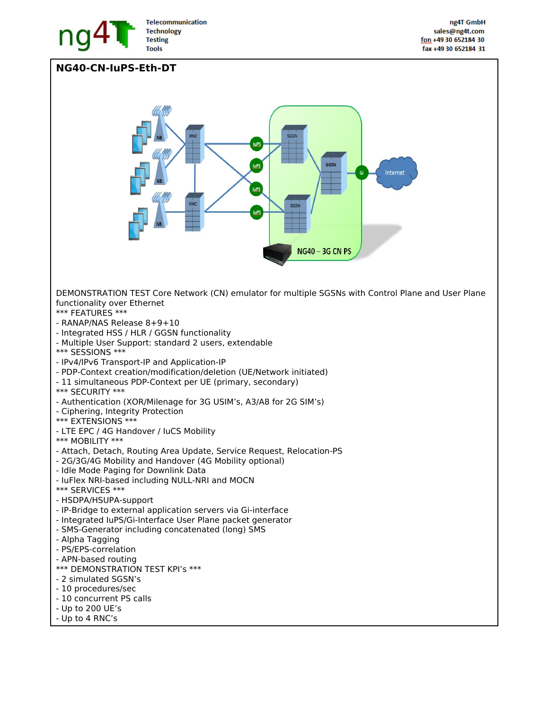

## **NG40-CN-IuPS-Eth-DT**

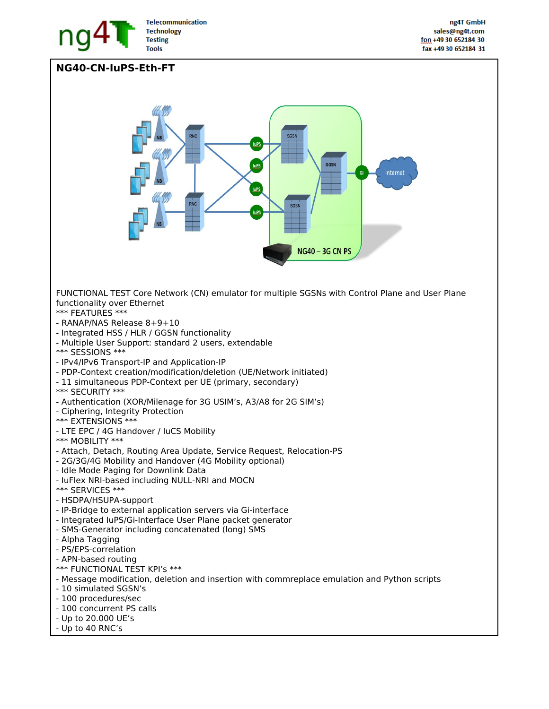

## **NG40-CN-IuPS-Eth-FT**